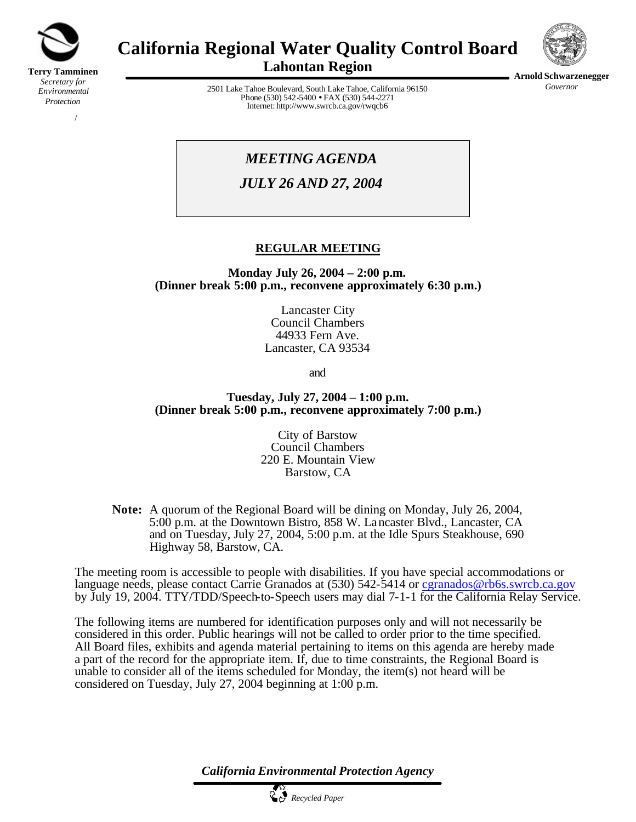

*Protection*

/

# **California Regional Water Quality Control Board**



**Lahontan Region**

2501 Lake Tahoe Boulevard, South Lake Tahoe, California 96150 Phone (530) 542-5400 • FAX (530) 544-2271 Internet: http://www.swrcb.ca.gov/rwqcb6

**Arnold Schwarzenegger**

*Governor*

## *MEETING AGENDA*

*JULY 26 AND 27, 2004*

## **REGULAR MEETING**

**Monday July 26, 2004 – 2:00 p.m. (Dinner break 5:00 p.m., reconvene approximately 6:30 p.m.)**

> Lancaster City Council Chambers 44933 Fern Ave. Lancaster, CA 93534

> > and

#### **Tuesday, July 27, 2004 – 1:00 p.m. (Dinner break 5:00 p.m., reconvene approximately 7:00 p.m.)**

City of Barstow Council Chambers 220 E. Mountain View Barstow, CA

**Note:** A quorum of the Regional Board will be dining on Monday, July 26, 2004, 5:00 p.m. at the Downtown Bistro, 858 W. Lancaster Blvd., Lancaster, CA and on Tuesday, July 27, 2004, 5:00 p.m. at the Idle Spurs Steakhouse, 690 Highway 58, Barstow, CA.

The meeting room is accessible to people with disabilities. If you have special accommodations or language needs, please contact Carrie Granados at (530) 542-5414 or cgranados@rb6s.swrcb.ca.gov by July 19, 2004. TTY/TDD/Speech-to-Speech users may dial 7-1-1 for the California Relay Service.

The following items are numbered for identification purposes only and will not necessarily be considered in this order. Public hearings will not be called to order prior to the time specified. All Board files, exhibits and agenda material pertaining to items on this agenda are hereby made a part of the record for the appropriate item. If, due to time constraints, the Regional Board is unable to consider all of the items scheduled for Monday, the item(s) not heard will be considered on Tuesday, July 27, 2004 beginning at 1:00 p.m.

*California Environmental Protection Agency*

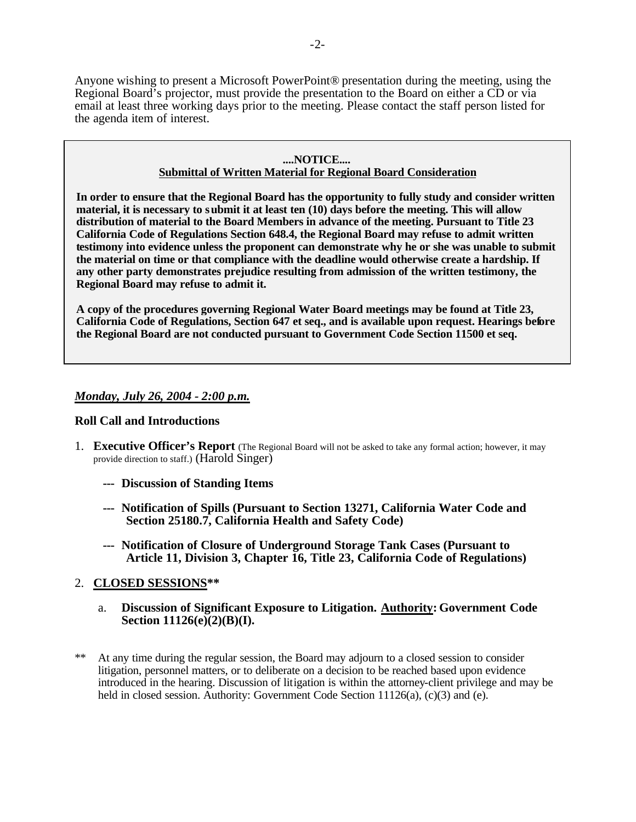Anyone wishing to present a Microsoft PowerPoint® presentation during the meeting, using the Regional Board's projector, must provide the presentation to the Board on either a CD or via email at least three working days prior to the meeting. Please contact the staff person listed for the agenda item of interest.

#### **....NOTICE....**

#### **Submittal of Written Material for Regional Board Consideration**

**In order to ensure that the Regional Board has the opportunity to fully study and consider written material, it is necessary to submit it at least ten (10) days before the meeting. This will allow distribution of material to the Board Members in advance of the meeting. Pursuant to Title 23 California Code of Regulations Section 648.4, the Regional Board may refuse to admit written testimony into evidence unless the proponent can demonstrate why he or she was unable to submit the material on time or that compliance with the deadline would otherwise create a hardship. If any other party demonstrates prejudice resulting from admission of the written testimony, the Regional Board may refuse to admit it.**

**A copy of the procedures governing Regional Water Board meetings may be found at Title 23, California Code of Regulations, Section 647 et seq., and is available upon request. Hearings before the Regional Board are not conducted pursuant to Government Code Section 11500 et seq.**

#### *Monday, July 26, 2004 - 2:00 p.m.*

#### **Roll Call and Introductions**

- 1. **Executive Officer's Report** (The Regional Board will not be asked to take any formal action; however, it may provide direction to staff.) (Harold Singer)
	- **--- Discussion of Standing Items**
	- **--- Notification of Spills (Pursuant to Section 13271, California Water Code and Section 25180.7, California Health and Safety Code)**
	- **--- Notification of Closure of Underground Storage Tank Cases (Pursuant to Article 11, Division 3, Chapter 16, Title 23, California Code of Regulations)**

#### 2. **CLOSED SESSIONS\*\***

- a. **Discussion of Significant Exposure to Litigation. Authority: Government Code Section 11126(e)(2)(B)(I).**
- \*\* At any time during the regular session, the Board may adjourn to a closed session to consider litigation, personnel matters, or to deliberate on a decision to be reached based upon evidence introduced in the hearing. Discussion of litigation is within the attorney-client privilege and may be held in closed session. Authority: Government Code Section  $11126(a)$ , (c)(3) and (e).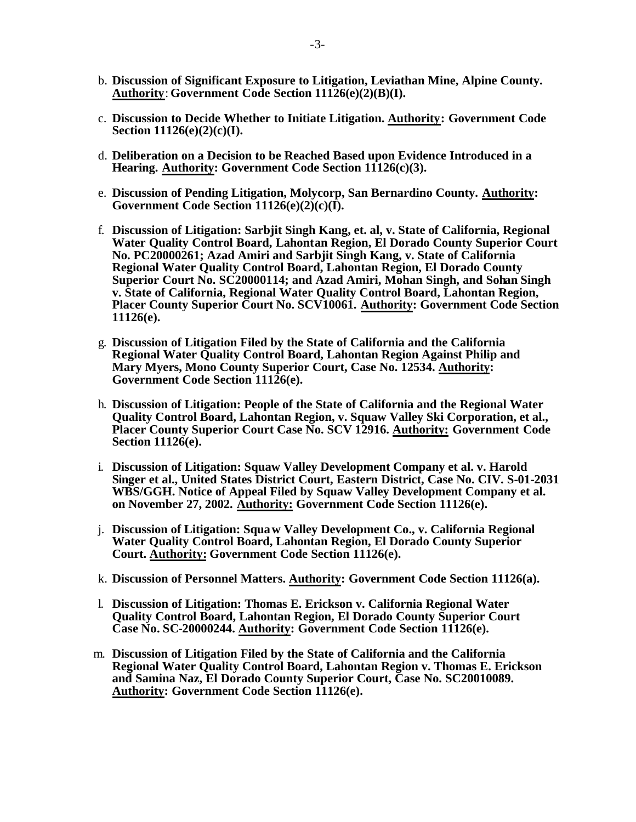- b. **Discussion of Significant Exposure to Litigation, Leviathan Mine, Alpine County. Authority**: **Government Code Section 11126(e)(2)(B)(I).**
- c. **Discussion to Decide Whether to Initiate Litigation. Authority: Government Code Section 11126(e)(2)(c)(I).**
- d. **Deliberation on a Decision to be Reached Based upon Evidence Introduced in a**  Hearing. Authority: Government Code Section 11126(c)(3).
- e. **Discussion of Pending Litigation, Molycorp, San Bernardino County. Authority: Government Code Section 11126(e)(2)(c)(I).**
- f. **Discussion of Litigation: Sarbjit Singh Kang, et. al, v. State of California, Regional Water Quality Control Board, Lahontan Region, El Dorado County Superior Court No. PC20000261; Azad Amiri and Sarbjit Singh Kang, v. State of California Regional Water Quality Control Board, Lahontan Region, El Dorado County Superior Court No. SC20000114; and Azad Amiri, Mohan Singh, and Sohan Singh v. State of California, Regional Water Quality Control Board, Lahontan Region, Placer County Superior Court No. SCV10061. Authority: Government Code Section 11126(e).**
- g. **Discussion of Litigation Filed by the State of California and the California Regional Water Quality Control Board, Lahontan Region Against Philip and Mary Myers, Mono County Superior Court, Case No. 12534. Authority: Government Code Section 11126(e).**
- h. **Discussion of Litigation: People of the State of California and the Regional Water Quality Control Board, Lahontan Region, v. Squaw Valley Ski Corporation, et al., Placer County Superior Court Case No. SCV 12916. Authority: Government Code Section 11126(e).**
- i. **Discussion of Litigation: Squaw Valley Development Company et al. v. Harold Singer et al., United States District Court, Eastern District, Case No. CIV. S-01-2031 WBS/GGH. Notice of Appeal Filed by Squaw Valley Development Company et al. on November 27, 2002. Authority: Government Code Section 11126(e).**
- j. **Discussion of Litigation: Squaw Valley Development Co., v. California Regional Water Quality Control Board, Lahontan Region, El Dorado County Superior Court. Authority: Government Code Section 11126(e).**
- k. **Discussion of Personnel Matters. Authority: Government Code Section 11126(a).**
- l. **Discussion of Litigation: Thomas E. Erickson v. California Regional Water Quality Control Board, Lahontan Region, El Dorado County Superior Court Case No. SC-20000244. Authority: Government Code Section 11126(e).**
- m. **Discussion of Litigation Filed by the State of California and the California Regional Water Quality Control Board, Lahontan Region v. Thomas E. Erickson and Samina Naz, El Dorado County Superior Court, Case No. SC20010089. Authority: Government Code Section 11126(e).**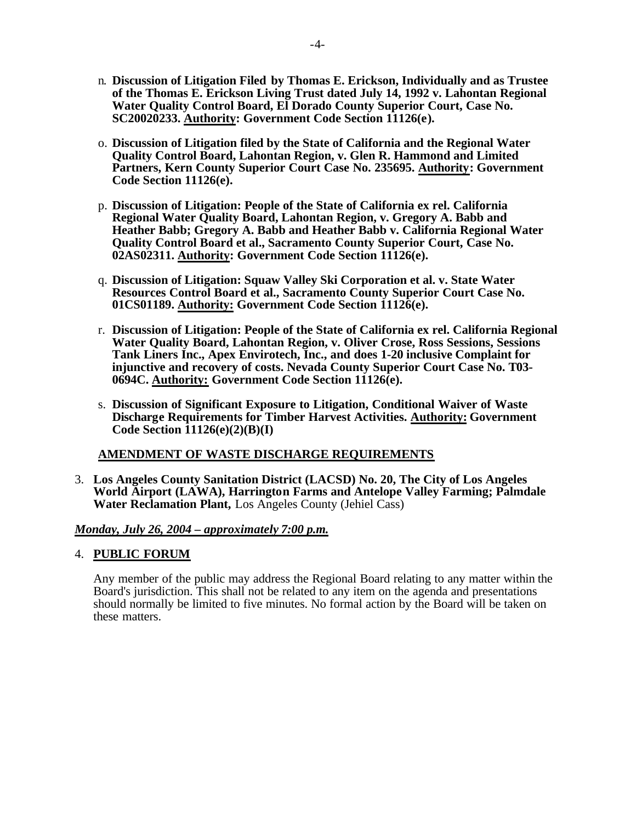- n. **Discussion of Litigation Filed by Thomas E. Erickson, Individually and as Trustee of the Thomas E. Erickson Living Trust dated July 14, 1992 v. Lahontan Regional Water Quality Control Board, El Dorado County Superior Court, Case No. SC20020233. Authority: Government Code Section 11126(e).**
- o. **Discussion of Litigation filed by the State of California and the Regional Water Quality Control Board, Lahontan Region, v. Glen R. Hammond and Limited Partners, Kern County Superior Court Case No. 235695. Authority: Government Code Section 11126(e).**
- p. **Discussion of Litigation: People of the State of California ex rel. California Regional Water Quality Board, Lahontan Region, v. Gregory A. Babb and Heather Babb; Gregory A. Babb and Heather Babb v. California Regional Water Quality Control Board et al., Sacramento County Superior Court, Case No. 02AS02311. Authority: Government Code Section 11126(e).**
- q. **Discussion of Litigation: Squaw Valley Ski Corporation et al. v. State Water Resources Control Board et al., Sacramento County Superior Court Case No. 01CS01189. Authority: Government Code Section 11126(e).**
- r. **Discussion of Litigation: People of the State of California ex rel. California Regional Water Quality Board, Lahontan Region, v. Oliver Crose, Ross Sessions, Sessions Tank Liners Inc., Apex Envirotech, Inc., and does 1-20 inclusive Complaint for injunctive and recovery of costs. Nevada County Superior Court Case No. T03- 0694C. Authority: Government Code Section 11126(e).**
- s. **Discussion of Significant Exposure to Litigation, Conditional Waiver of Waste Discharge Requirements for Timber Harvest Activities. Authority: Government Code Section 11126(e)(2)(B)(I)**

#### **AMENDMENT OF WASTE DISCHARGE REQUIREMENTS**

3. **Los Angeles County Sanitation District (LACSD) No. 20, The City of Los Angeles World Airport (LAWA), Harrington Farms and Antelope Valley Farming; Palmdale Water Reclamation Plant,** Los Angeles County (Jehiel Cass)

#### *Monday, July 26, 2004 – approximately 7:00 p.m.*

#### 4. **PUBLIC FORUM**

Any member of the public may address the Regional Board relating to any matter within the Board's jurisdiction. This shall not be related to any item on the agenda and presentations should normally be limited to five minutes. No formal action by the Board will be taken on these matters.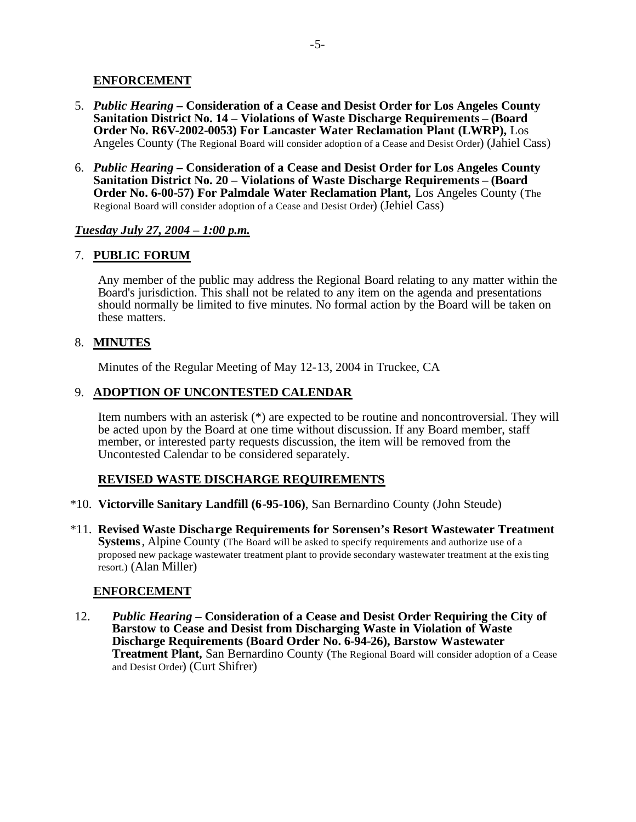#### **ENFORCEMENT**

- 5. *Public Hearing –* **Consideration of a Cease and Desist Order for Los Angeles County Sanitation District No. 14 – Violations of Waste Discharge Requirements – (Board Order No. R6V-2002-0053) For Lancaster Water Reclamation Plant (LWRP),** Los Angeles County (The Regional Board will consider adoption of a Cease and Desist Order) (Jahiel Cass)
- 6. *Public Hearing –* **Consideration of a Cease and Desist Order for Los Angeles County Sanitation District No. 20 – Violations of Waste Discharge Requirements – (Board Order No. 6-00-57) For Palmdale Water Reclamation Plant,** Los Angeles County (The Regional Board will consider adoption of a Cease and Desist Order) (Jehiel Cass)

#### *Tuesday July 27, 2004 – 1:00 p.m.*

#### 7. **PUBLIC FORUM**

Any member of the public may address the Regional Board relating to any matter within the Board's jurisdiction. This shall not be related to any item on the agenda and presentations should normally be limited to five minutes. No formal action by the Board will be taken on these matters.

#### 8. **MINUTES**

Minutes of the Regular Meeting of May 12-13, 2004 in Truckee, CA

#### 9. **ADOPTION OF UNCONTESTED CALENDAR**

Item numbers with an asterisk (\*) are expected to be routine and noncontroversial. They will be acted upon by the Board at one time without discussion. If any Board member, staff member, or interested party requests discussion, the item will be removed from the Uncontested Calendar to be considered separately.

## **REVISED WASTE DISCHARGE REQUIREMENTS**

- \*10. **Victorville Sanitary Landfill (6-95-106)**, San Bernardino County (John Steude)
- \*11. **Revised Waste Discharge Requirements for Sorensen's Resort Wastewater Treatment Systems**, Alpine County (The Board will be asked to specify requirements and authorize use of a proposed new package wastewater treatment plant to provide secondary wastewater treatment at the existing resort.) (Alan Miller)

## **ENFORCEMENT**

12. *Public Hearing –* **Consideration of a Cease and Desist Order Requiring the City of Barstow to Cease and Desist from Discharging Waste in Violation of Waste Discharge Requirements (Board Order No. 6-94-26), Barstow Wastewater Treatment Plant,** San Bernardino County (The Regional Board will consider adoption of a Cease and Desist Order) (Curt Shifrer)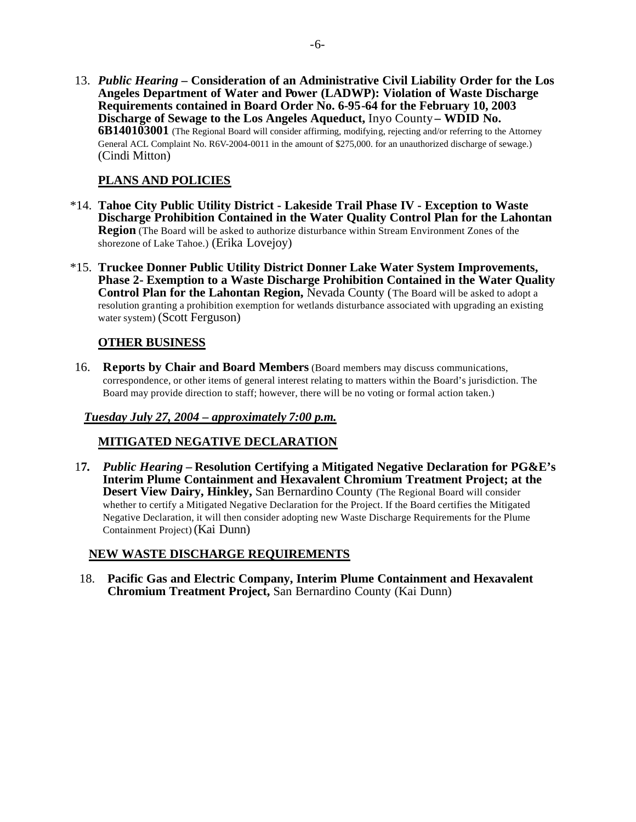13. *Public Hearing* **– Consideration of an Administrative Civil Liability Order for the Los Angeles Department of Water and Power (LADWP): Violation of Waste Discharge Requirements contained in Board Order No. 6-95-64 for the February 10, 2003 Discharge of Sewage to the Los Angeles Aqueduct,** Inyo County **– WDID No. 6B140103001** (The Regional Board will consider affirming, modifying, rejecting and/or referring to the Attorney General ACL Complaint No. R6V-2004-0011 in the amount of \$275,000. for an unauthorized discharge of sewage.) (Cindi Mitton)

## **PLANS AND POLICIES**

- \*14. **Tahoe City Public Utility District Lakeside Trail Phase IV Exception to Waste Discharge Prohibition Contained in the Water Quality Control Plan for the Lahontan Region** (The Board will be asked to authorize disturbance within Stream Environment Zones of the shorezone of Lake Tahoe.) (Erika Lovejoy)
- \*15. **Truckee Donner Public Utility District Donner Lake Water System Improvements, Phase 2- Exemption to a Waste Discharge Prohibition Contained in the Water Quality Control Plan for the Lahontan Region,** Nevada County (The Board will be asked to adopt a resolution granting a prohibition exemption for wetlands disturbance associated with upgrading an existing water system) (Scott Ferguson)

## **OTHER BUSINESS**

16. **Reports by Chair and Board Members** (Board members may discuss communications, correspondence, or other items of general interest relating to matters within the Board's jurisdiction. The Board may provide direction to staff; however, there will be no voting or formal action taken.)

#### *Tuesday July 27, 2004 – approximately 7:00 p.m.*

#### **MITIGATED NEGATIVE DECLARATION**

1**7***. Public Hearing –* **Resolution Certifying a Mitigated Negative Declaration for PG&E's Interim Plume Containment and Hexavalent Chromium Treatment Project; at the Desert View Dairy, Hinkley,** San Bernardino County (The Regional Board will consider whether to certify a Mitigated Negative Declaration for the Project. If the Board certifies the Mitigated Negative Declaration, it will then consider adopting new Waste Discharge Requirements for the Plume Containment Project) (Kai Dunn)

## **NEW WASTE DISCHARGE REQUIREMENTS**

18. **Pacific Gas and Electric Company, Interim Plume Containment and Hexavalent Chromium Treatment Project,** San Bernardino County (Kai Dunn)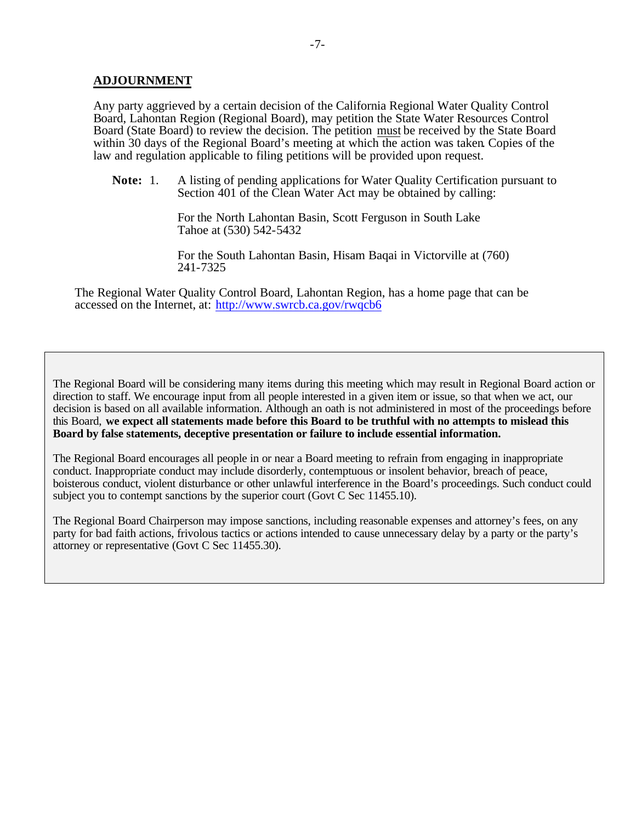#### **ADJOURNMENT**

Any party aggrieved by a certain decision of the California Regional Water Quality Control Board, Lahontan Region (Regional Board), may petition the State Water Resources Control Board (State Board) to review the decision. The petition must be received by the State Board within 30 days of the Regional Board's meeting at which the action was taken. Copies of the law and regulation applicable to filing petitions will be provided upon request.

**Note:** 1. A listing of pending applications for Water Quality Certification pursuant to Section 401 of the Clean Water Act may be obtained by calling:

> For the North Lahontan Basin, Scott Ferguson in South Lake Tahoe at (530) 542-5432

For the South Lahontan Basin, Hisam Baqai in Victorville at (760) 241-7325

The Regional Water Quality Control Board, Lahontan Region, has a home page that can be accessed on the Internet, at: http://www.swrcb.ca.gov/rwqcb6

The Regional Board will be considering many items during this meeting which may result in Regional Board action or direction to staff. We encourage input from all people interested in a given item or issue, so that when we act, our decision is based on all available information. Although an oath is not administered in most of the proceedings before this Board, **we expect all statements made before this Board to be truthful with no attempts to mislead this Board by false statements, deceptive presentation or failure to include essential information.**

The Regional Board encourages all people in or near a Board meeting to refrain from engaging in inappropriate conduct. Inappropriate conduct may include disorderly, contemptuous or insolent behavior, breach of peace, boisterous conduct, violent disturbance or other unlawful interference in the Board's proceedings. Such conduct could subject you to contempt sanctions by the superior court (Govt C Sec 11455.10).

The Regional Board Chairperson may impose sanctions, including reasonable expenses and attorney's fees, on any party for bad faith actions, frivolous tactics or actions intended to cause unnecessary delay by a party or the party's attorney or representative (Govt C Sec 11455.30).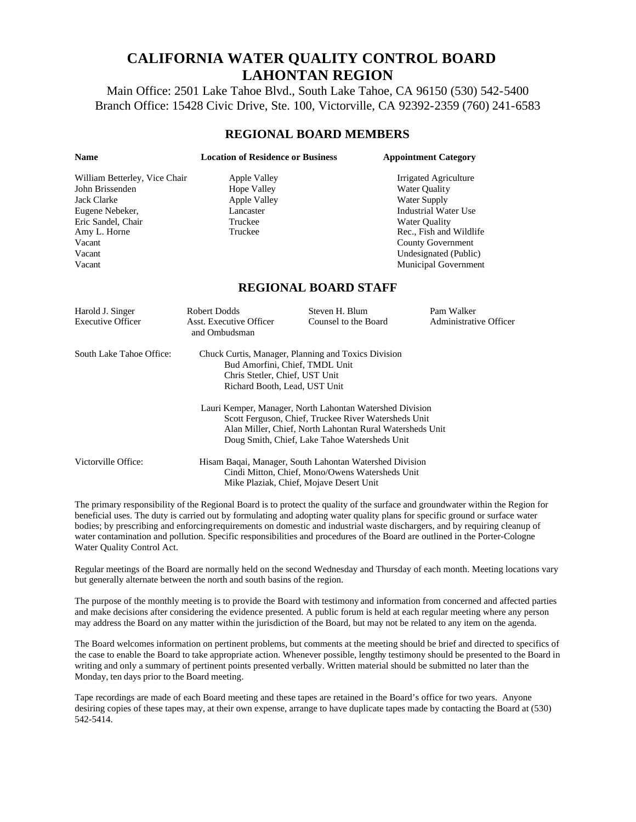## **CALIFORNIA WATER QUALITY CONTROL BOARD LAHONTAN REGION**

Main Office: 2501 Lake Tahoe Blvd., South Lake Tahoe, CA 96150 (530) 542-5400 Branch Office: 15428 Civic Drive, Ste. 100, Victorville, CA 92392-2359 (760) 241-6583

#### **REGIONAL BOARD MEMBERS**

| <b>Name</b>                   | <b>Location of Residence or Business</b>                                                                                                                 |                                                                                                                                                                   | <b>Appointment Category</b>                                                                                                                                                                                                                                      |
|-------------------------------|----------------------------------------------------------------------------------------------------------------------------------------------------------|-------------------------------------------------------------------------------------------------------------------------------------------------------------------|------------------------------------------------------------------------------------------------------------------------------------------------------------------------------------------------------------------------------------------------------------------|
| William Betterley, Vice Chair | Apple Valley                                                                                                                                             |                                                                                                                                                                   | Irrigated Agriculture                                                                                                                                                                                                                                            |
| John Brissenden               | <b>Hope Valley</b>                                                                                                                                       |                                                                                                                                                                   | Water Quality                                                                                                                                                                                                                                                    |
| <b>Jack Clarke</b>            | <b>Apple Valley</b>                                                                                                                                      |                                                                                                                                                                   | Water Supply                                                                                                                                                                                                                                                     |
| Eugene Nebeker,               | Lancaster                                                                                                                                                |                                                                                                                                                                   | <b>Industrial Water Use</b>                                                                                                                                                                                                                                      |
| Eric Sandel, Chair            | Truckee                                                                                                                                                  |                                                                                                                                                                   | <b>Water Quality</b>                                                                                                                                                                                                                                             |
| Amy L. Horne                  | Truckee                                                                                                                                                  |                                                                                                                                                                   | Rec., Fish and Wildlife                                                                                                                                                                                                                                          |
| Vacant                        |                                                                                                                                                          |                                                                                                                                                                   | <b>County Government</b>                                                                                                                                                                                                                                         |
| Vacant                        |                                                                                                                                                          |                                                                                                                                                                   | Undesignated (Public)                                                                                                                                                                                                                                            |
| Vacant                        |                                                                                                                                                          |                                                                                                                                                                   | Municipal Government                                                                                                                                                                                                                                             |
|                               |                                                                                                                                                          | <b>REGIONAL BOARD STAFF</b>                                                                                                                                       |                                                                                                                                                                                                                                                                  |
| Harold J. Singer              | <b>Robert Dodds</b>                                                                                                                                      | Steven H. Blum                                                                                                                                                    | Pam Walker                                                                                                                                                                                                                                                       |
| <b>Executive Officer</b>      | <b>Asst. Executive Officer</b><br>and Ombudsman                                                                                                          | Counsel to the Board                                                                                                                                              | <b>Administrative Officer</b>                                                                                                                                                                                                                                    |
| South Lake Tahoe Office:      | Chuck Curtis, Manager, Planning and Toxics Division<br>Bud Amorfini, Chief, TMDL Unit<br>Chris Stetler, Chief, UST Unit<br>Richard Booth, Lead, UST Unit |                                                                                                                                                                   |                                                                                                                                                                                                                                                                  |
|                               | Lauri Kemper, Manager, North Lahontan Watershed Division                                                                                                 |                                                                                                                                                                   |                                                                                                                                                                                                                                                                  |
|                               |                                                                                                                                                          | Scott Ferguson, Chief, Truckee River Watersheds Unit<br>Alan Miller, Chief, North Lahontan Rural Watersheds Unit<br>Doug Smith, Chief, Lake Tahoe Watersheds Unit |                                                                                                                                                                                                                                                                  |
| Victorville Office:           |                                                                                                                                                          |                                                                                                                                                                   |                                                                                                                                                                                                                                                                  |
|                               | Hisam Baqai, Manager, South Lahontan Watershed Division<br>Cindi Mitton, Chief, Mono/Owens Watersheds Unit<br>Mike Plaziak, Chief, Mojave Desert Unit    |                                                                                                                                                                   |                                                                                                                                                                                                                                                                  |
|                               |                                                                                                                                                          |                                                                                                                                                                   | The primary responsibility of the Regional Board is to protect the quality of the surface and groundwater within the Region for<br>beneficial uses. The duty is carried out by formulating and adopting water quality plans for specific ground or surface water |

beneficial uses. The duty is carried out by formulating and adopting water quality plans for specific ground or surface water bodies; by prescribing and enforcing requirements on domestic and industrial waste dischargers, and by requiring cleanup of water contamination and pollution. Specific responsibilities and procedures of the Board are outlined in the Porter-Cologne Water Quality Control Act.

Regular meetings of the Board are normally held on the second Wednesday and Thursday of each month. Meeting locations vary but generally alternate between the north and south basins of the region.

The purpose of the monthly meeting is to provide the Board with testimony and information from concerned and affected parties and make decisions after considering the evidence presented. A public forum is held at each regular meeting where any person may address the Board on any matter within the jurisdiction of the Board, but may not be related to any item on the agenda.

The Board welcomes information on pertinent problems, but comments at the meeting should be brief and directed to specifics of the case to enable the Board to take appropriate action. Whenever possible, lengthy testimony should be presented to the Board in writing and only a summary of pertinent points presented verbally. Written material should be submitted no later than the Monday, ten days prior to the Board meeting.

Tape recordings are made of each Board meeting and these tapes are retained in the Board's office for two years. Anyone desiring copies of these tapes may, at their own expense, arrange to have duplicate tapes made by contacting the Board at (530) 542-5414.